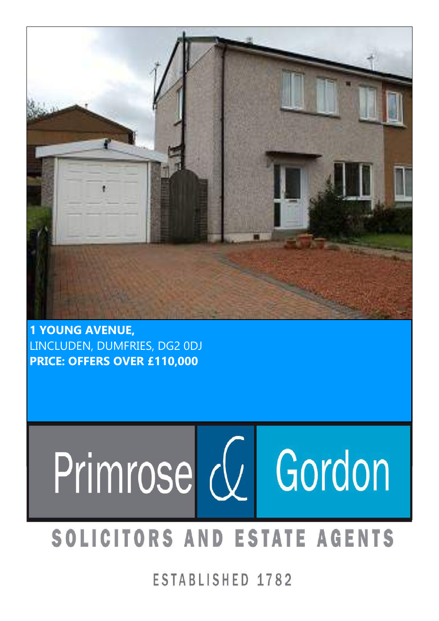

**1 YOUNG AVENUE,** LINCLUDEN, DUMFRIES, DG2 0DJ **PRICE: OFFERS OVER £110,000**

#### 555 555 5555 Name Name Name Name I 555 555 5555 55 555 555 5555 555 555 5555 555 555 555 555 5555 5<br>5<br>5 555 555 5555 555 555 5555

# SOLICITORS AND ESTATE AGENTS

ESTABLISHED 1782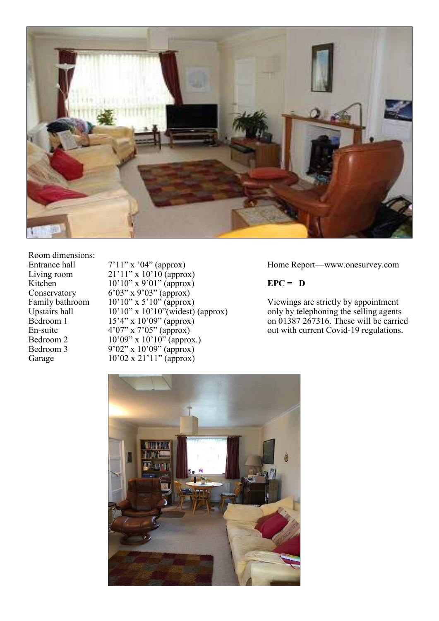

Room dimensions:<br>Entrance hall

Entrance hall  $7'11''$  x '04" (approx) Home Report—www.onesurvey.com<br>Living room  $21'11''$  x 10'10 (approx) Entrance hall<br>
Living room 21'11" x '04" (approx)<br>
Kitchen 10'10" x 9'01" (approx)  $EPC = D$ Conservatory  $6'03''$  x 9'03" (approx)<br>Family bathroom  $10'10''$  x 5'10" (approx)<br>Upstairs hall  $10'10''$  x  $10'10''$  (widest) (approx) En-suite  $4'07''$  x  $7'05''$  (approx) out with current Covid-19 regulations.<br>Bedroom 2  $10'09''$  x  $10'10''$  (approx.) Bedroom 2 10'09" x 10'10" (approx.) Bedroom 3 9'02" x 10'09" (approx) Garage 10'02 x 21'11" (approx)

Family bathroom  $10'10'' \times 5'10''$  (approx) Viewings are strictly by appointment<br>Upstairs hall  $10'10'' \times 10'10''$  (widest) (approx) only by telephoning the selling agents Upstairs hall  $10'10''$  x  $10'10''$  (widest) (approx) only by telephoning the selling agents<br>Bedroom 1 15'4" x 10'09" (approx) on 01387 267316. These will be carrie on  $01387 267316$ . These will be carried

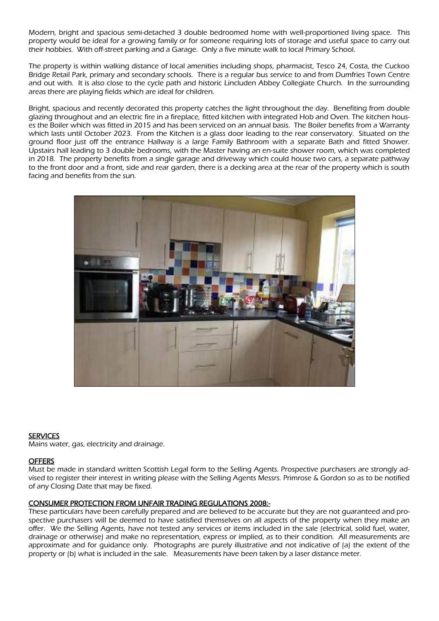Modern, bright and spacious semi-detached 3 double bedroomed home with well-proportioned living space. This property would be ideal for a growing family or for someone requiring lots of storage and useful space to carry out their hobbies. With off-street parking and a Garage. Only a five minute walk to local Primary School.

The property is within walking distance of local amenities including shops, pharmacist, Tesco 24, Costa, the Cuckoo Bridge Retail Park, primary and secondary schools. There is a regular bus service to and from Dumfries Town Centre and out with. It is also close to the cycle path and historic Lincluden Abbey Collegiate Church. In the surrounding areas there are playing fields which are ideal for children.

Bright, spacious and recently decorated this property catches the light throughout the day. Benefiting from double glazing throughout and an electric fire in a fireplace, fitted kitchen with integrated Hob and Oven. The kitchen houses the Boiler which was fitted in 2015 and has been serviced on an annual basis. The Boiler benefits from a Warranty which lasts until October 2023. From the Kitchen is a glass door leading to the rear conservatory. Situated on the ground floor just off the entrance Hallway is a large Family Bathroom with a separate Bath and fitted Shower. Upstairs hall leading to 3 double bedrooms, with the Master having an en-suite shower room, which was completed in 2018. The property benefits from a single garage and driveway which could house two cars, a separate pathway to the front door and a front, side and rear garden, there is a decking area at the rear of the property which is south facing and benefits from the sun.



### **SERVICES**

Mains water, gas, electricity and drainage.

# **OFFERS**

Must be made in standard written Scottish Legal form to the Selling Agents. Prospective purchasers are strongly advised to register their interest in writing please with the Selling Agents Messrs. Primrose & Gordon so as to be notified of any Closing Date that may be fixed.

# CONSUMER PROTECTION FROM UNFAIR TRADING REGULATIONS 2008:-

These particulars have been carefully prepared and are believed to be accurate but they are not guaranteed and prospective purchasers will be deemed to have satisfied themselves on all aspects of the property when they make an offer. We the Selling Agents, have not tested any services or items included in the sale (electrical, solid fuel, water, drainage or otherwise) and make no representation, express or implied, as to their condition. All measurements are approximate and for guidance only. Photographs are purely illustrative and not indicative of (a) the extent of the property or (b) what is included in the sale. Measurements have been taken by a laser distance meter.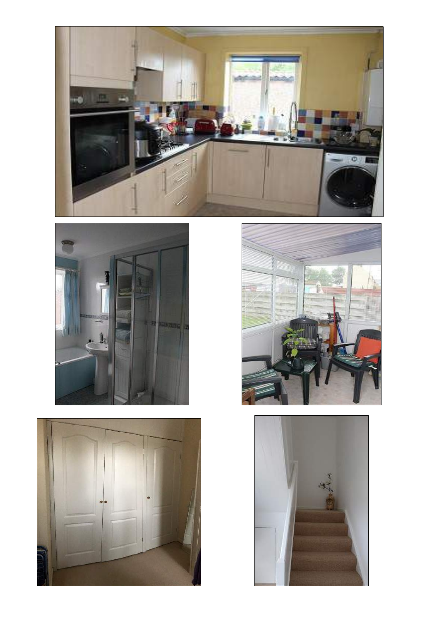







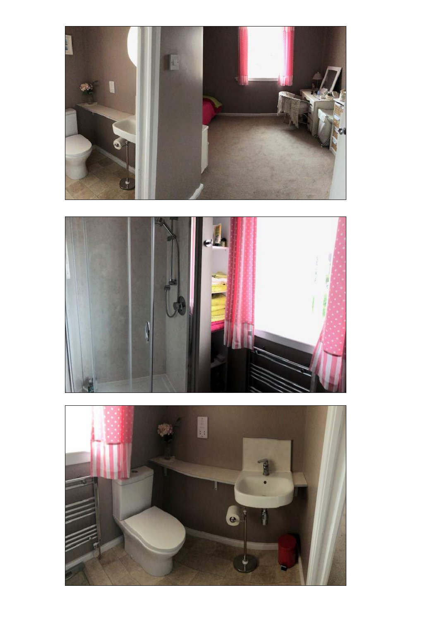



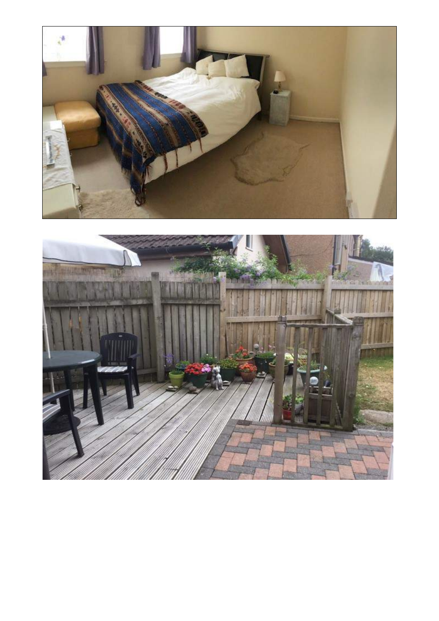

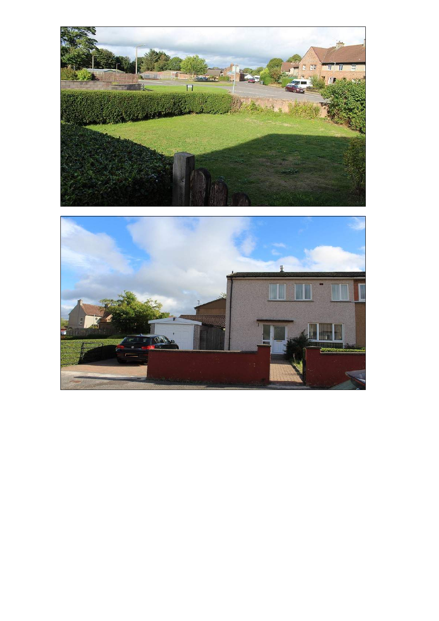